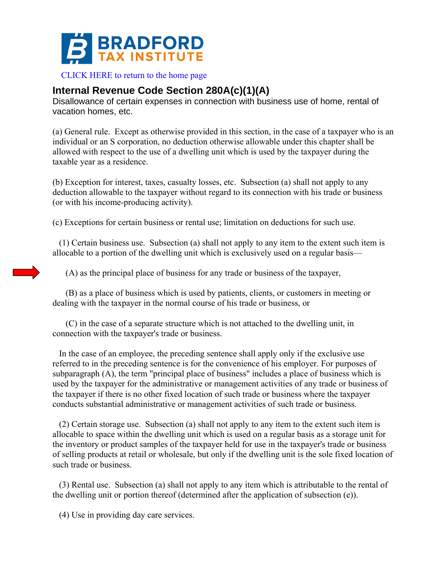

[CLICK HERE to return to the home page](http://bradfordtaxinstitute.com/index1.aspx) 

## **Internal Revenue Code Section 280A(c)(1)(A)**

Disallowance of certain expenses in connection with business use of home, rental of vacation homes, etc.

(a) General rule. Except as otherwise provided in this section, in the case of a taxpayer who is an individual or an S corporation, no deduction otherwise allowable under this chapter shall be allowed with respect to the use of a dwelling unit which is used by the taxpayer during the taxable year as a residence.

(b) Exception for interest, taxes, casualty losses, etc. Subsection (a) shall not apply to any deduction allowable to the taxpayer without regard to its connection with his trade or business (or with his income-producing activity).

(c) Exceptions for certain business or rental use; limitation on deductions for such use.

 (1) Certain business use. Subsection (a) shall not apply to any item to the extent such item is allocable to a portion of the dwelling unit which is exclusively used on a regular basis—

(A) as the principal place of business for any trade or business of the taxpayer,

 (B) as a place of business which is used by patients, clients, or customers in meeting or dealing with the taxpayer in the normal course of his trade or business, or

 (C) in the case of a separate structure which is not attached to the dwelling unit, in connection with the taxpayer's trade or business.

 In the case of an employee, the preceding sentence shall apply only if the exclusive use referred to in the preceding sentence is for the convenience of his employer. For purposes of subparagraph (A), the term "principal place of business" includes a place of business which is used by the taxpayer for the administrative or management activities of any trade or business of the taxpayer if there is no other fixed location of such trade or business where the taxpayer conducts substantial administrative or management activities of such trade or business.

 (2) Certain storage use. Subsection (a) shall not apply to any item to the extent such item is allocable to space within the dwelling unit which is used on a regular basis as a storage unit for the inventory or product samples of the taxpayer held for use in the taxpayer's trade or business of selling products at retail or wholesale, but only if the dwelling unit is the sole fixed location of such trade or business.

 (3) Rental use. Subsection (a) shall not apply to any item which is attributable to the rental of the dwelling unit or portion thereof (determined after the application of subsection (e)).

(4) Use in providing day care services.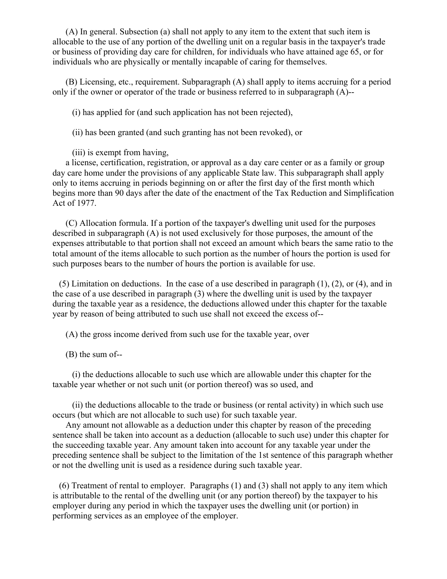(A) In general. Subsection (a) shall not apply to any item to the extent that such item is allocable to the use of any portion of the dwelling unit on a regular basis in the taxpayer's trade or business of providing day care for children, for individuals who have attained age 65, or for individuals who are physically or mentally incapable of caring for themselves.

 (B) Licensing, etc., requirement. Subparagraph (A) shall apply to items accruing for a period only if the owner or operator of the trade or business referred to in subparagraph (A)--

(i) has applied for (and such application has not been rejected),

(ii) has been granted (and such granting has not been revoked), or

(iii) is exempt from having,

 a license, certification, registration, or approval as a day care center or as a family or group day care home under the provisions of any applicable State law. This subparagraph shall apply only to items accruing in periods beginning on or after the first day of the first month which begins more than 90 days after the date of the enactment of the Tax Reduction and Simplification Act of 1977.

 (C) Allocation formula. If a portion of the taxpayer's dwelling unit used for the purposes described in subparagraph (A) is not used exclusively for those purposes, the amount of the expenses attributable to that portion shall not exceed an amount which bears the same ratio to the total amount of the items allocable to such portion as the number of hours the portion is used for such purposes bears to the number of hours the portion is available for use.

 (5) Limitation on deductions. In the case of a use described in paragraph (1), (2), or (4), and in the case of a use described in paragraph (3) where the dwelling unit is used by the taxpayer during the taxable year as a residence, the deductions allowed under this chapter for the taxable year by reason of being attributed to such use shall not exceed the excess of--

(A) the gross income derived from such use for the taxable year, over

(B) the sum of--

 (i) the deductions allocable to such use which are allowable under this chapter for the taxable year whether or not such unit (or portion thereof) was so used, and

 (ii) the deductions allocable to the trade or business (or rental activity) in which such use occurs (but which are not allocable to such use) for such taxable year.

 Any amount not allowable as a deduction under this chapter by reason of the preceding sentence shall be taken into account as a deduction (allocable to such use) under this chapter for the succeeding taxable year. Any amount taken into account for any taxable year under the preceding sentence shall be subject to the limitation of the 1st sentence of this paragraph whether or not the dwelling unit is used as a residence during such taxable year.

 (6) Treatment of rental to employer. Paragraphs (1) and (3) shall not apply to any item which is attributable to the rental of the dwelling unit (or any portion thereof) by the taxpayer to his employer during any period in which the taxpayer uses the dwelling unit (or portion) in performing services as an employee of the employer.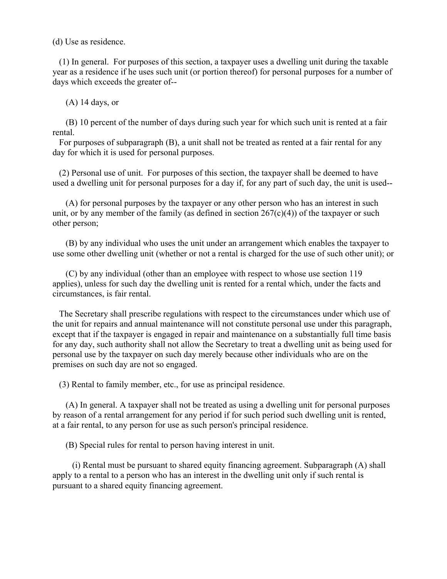(d) Use as residence.

 (1) In general. For purposes of this section, a taxpayer uses a dwelling unit during the taxable year as a residence if he uses such unit (or portion thereof) for personal purposes for a number of days which exceeds the greater of--

(A) 14 days, or

 (B) 10 percent of the number of days during such year for which such unit is rented at a fair rental.

 For purposes of subparagraph (B), a unit shall not be treated as rented at a fair rental for any day for which it is used for personal purposes.

 (2) Personal use of unit. For purposes of this section, the taxpayer shall be deemed to have used a dwelling unit for personal purposes for a day if, for any part of such day, the unit is used--

 (A) for personal purposes by the taxpayer or any other person who has an interest in such unit, or by any member of the family (as defined in section  $267(c)(4)$ ) of the taxpayer or such other person;

 (B) by any individual who uses the unit under an arrangement which enables the taxpayer to use some other dwelling unit (whether or not a rental is charged for the use of such other unit); or

 (C) by any individual (other than an employee with respect to whose use section 119 applies), unless for such day the dwelling unit is rented for a rental which, under the facts and circumstances, is fair rental.

 The Secretary shall prescribe regulations with respect to the circumstances under which use of the unit for repairs and annual maintenance will not constitute personal use under this paragraph, except that if the taxpayer is engaged in repair and maintenance on a substantially full time basis for any day, such authority shall not allow the Secretary to treat a dwelling unit as being used for personal use by the taxpayer on such day merely because other individuals who are on the premises on such day are not so engaged.

(3) Rental to family member, etc., for use as principal residence.

 (A) In general. A taxpayer shall not be treated as using a dwelling unit for personal purposes by reason of a rental arrangement for any period if for such period such dwelling unit is rented, at a fair rental, to any person for use as such person's principal residence.

(B) Special rules for rental to person having interest in unit.

 (i) Rental must be pursuant to shared equity financing agreement. Subparagraph (A) shall apply to a rental to a person who has an interest in the dwelling unit only if such rental is pursuant to a shared equity financing agreement.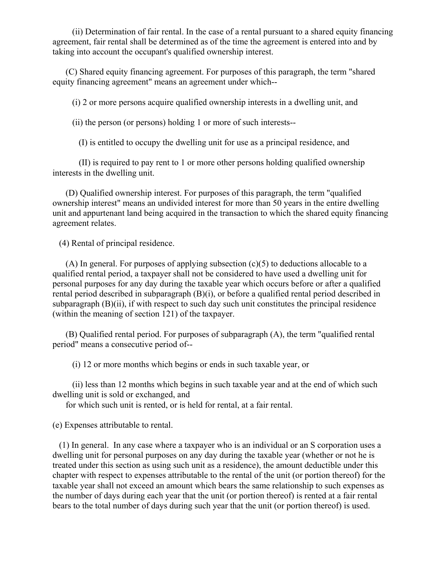(ii) Determination of fair rental. In the case of a rental pursuant to a shared equity financing agreement, fair rental shall be determined as of the time the agreement is entered into and by taking into account the occupant's qualified ownership interest.

 (C) Shared equity financing agreement. For purposes of this paragraph, the term "shared equity financing agreement" means an agreement under which--

(i) 2 or more persons acquire qualified ownership interests in a dwelling unit, and

(ii) the person (or persons) holding 1 or more of such interests--

(I) is entitled to occupy the dwelling unit for use as a principal residence, and

 (II) is required to pay rent to 1 or more other persons holding qualified ownership interests in the dwelling unit.

 (D) Qualified ownership interest. For purposes of this paragraph, the term "qualified ownership interest" means an undivided interest for more than 50 years in the entire dwelling unit and appurtenant land being acquired in the transaction to which the shared equity financing agreement relates.

(4) Rental of principal residence.

 (A) In general. For purposes of applying subsection (c)(5) to deductions allocable to a qualified rental period, a taxpayer shall not be considered to have used a dwelling unit for personal purposes for any day during the taxable year which occurs before or after a qualified rental period described in subparagraph (B)(i), or before a qualified rental period described in subparagraph  $(B)(ii)$ , if with respect to such day such unit constitutes the principal residence (within the meaning of section 121) of the taxpayer.

 (B) Qualified rental period. For purposes of subparagraph (A), the term "qualified rental period" means a consecutive period of--

(i) 12 or more months which begins or ends in such taxable year, or

 (ii) less than 12 months which begins in such taxable year and at the end of which such dwelling unit is sold or exchanged, and

for which such unit is rented, or is held for rental, at a fair rental.

(e) Expenses attributable to rental.

 (1) In general. In any case where a taxpayer who is an individual or an S corporation uses a dwelling unit for personal purposes on any day during the taxable year (whether or not he is treated under this section as using such unit as a residence), the amount deductible under this chapter with respect to expenses attributable to the rental of the unit (or portion thereof) for the taxable year shall not exceed an amount which bears the same relationship to such expenses as the number of days during each year that the unit (or portion thereof) is rented at a fair rental bears to the total number of days during such year that the unit (or portion thereof) is used.